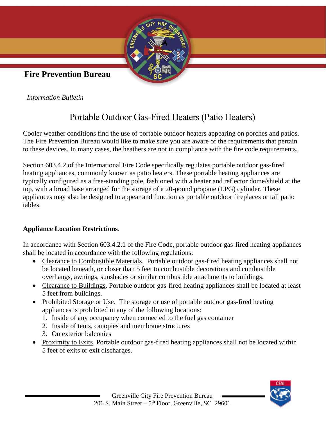

**Fire Prevention Bureau**

*Information Bulletin*

# Portable Outdoor Gas-Fired Heaters (Patio Heaters)

Cooler weather conditions find the use of portable outdoor heaters appearing on porches and patios. The Fire Prevention Bureau would like to make sure you are aware of the requirements that pertain to these devices. In many cases, the heathers are not in compliance with the fire code requirements.

Section 603.4.2 of the International Fire Code specifically regulates portable outdoor gas-fired heating appliances, commonly known as patio heaters. These portable heating appliances are typically configured as a free-standing pole, fashioned with a heater and reflector dome/shield at the top, with a broad base arranged for the storage of a 20-pound propane (LPG) cylinder. These appliances may also be designed to appear and function as portable outdoor fireplaces or tall patio tables.

### **Appliance Location Restrictions**.

In accordance with Section 603.4.2.1 of the Fire Code, portable outdoor gas-fired heating appliances shall be located in accordance with the following regulations:

- Clearance to Combustible Materials. Portable outdoor gas-fired heating appliances shall not be located beneath, or closer than 5 feet to combustible decorations and combustible overhangs, awnings, sunshades or similar combustible attachments to buildings.
- Clearance to Buildings. Portable outdoor gas-fired heating appliances shall be located at least 5 feet from buildings.
- Prohibited Storage or Use. The storage or use of portable outdoor gas-fired heating appliances is prohibited in any of the following locations:
	- 1. Inside of any occupancy when connected to the fuel gas container
	- 2. Inside of tents, canopies and membrane structures
	- 3. On exterior balconies
- Proximity to Exits. Portable outdoor gas-fired heating appliances shall not be located within 5 feet of exits or exit discharges.